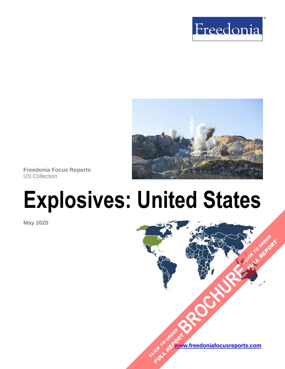



**Freedonia Focus Reports** US Collection

# **Explosives: United States**

**May 2020**

**[www.freedoniafocusreports.com](https://www.freedoniafocusreports.com/redirect.asp?progid=89534&url=/)** CLICK TO ORDER **FULL REPORT** 

**[BROCHURE](https://www.freedoniafocusreports.com/Explosives-United-States-FF35018/?progid=89541) CLICK TO ORDER** 

**FULL REPORT**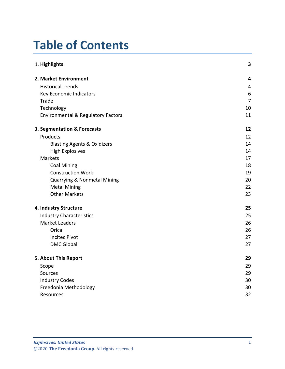# **Table of Contents**

| 1. Highlights                          | 3              |
|----------------------------------------|----------------|
| 2. Market Environment                  | 4              |
| <b>Historical Trends</b>               | 4              |
| Key Economic Indicators                | 6              |
| Trade                                  | $\overline{7}$ |
| Technology                             | 10             |
| Environmental & Regulatory Factors     | 11             |
| 3. Segmentation & Forecasts            | 12             |
| Products                               | 12             |
| <b>Blasting Agents &amp; Oxidizers</b> | 14             |
| <b>High Explosives</b>                 | 14             |
| Markets                                | 17             |
| <b>Coal Mining</b>                     | 18             |
| <b>Construction Work</b>               | 19             |
| Quarrying & Nonmetal Mining            | 20             |
| <b>Metal Mining</b>                    | 22             |
| <b>Other Markets</b>                   | 23             |
| 4. Industry Structure                  | 25             |
| <b>Industry Characteristics</b>        | 25             |
| <b>Market Leaders</b>                  | 26             |
| Orica                                  | 26             |
| <b>Incitec Pivot</b>                   | 27             |
| <b>DMC Global</b>                      | 27             |
| 5. About This Report                   | 29             |
| Scope                                  | 29             |
| Sources                                | 29             |
| <b>Industry Codes</b>                  | 30             |
| Freedonia Methodology                  | 30             |
| Resources                              | 32             |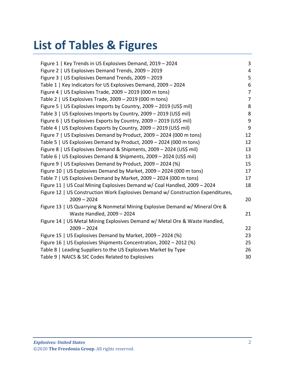# **List of Tables & Figures**

| Figure 1   Key Trends in US Explosives Demand, 2019 - 2024                       | 3              |
|----------------------------------------------------------------------------------|----------------|
| Figure 2   US Explosives Demand Trends, 2009 - 2019                              | 4              |
| Figure 3   US Explosives Demand Trends, 2009 - 2019                              | 5              |
| Table 1   Key Indicators for US Explosives Demand, 2009 - 2024                   | 6              |
| Figure 4   US Explosives Trade, $2009 - 2019$ (000 m tons)                       | $\overline{7}$ |
| Table 2   US Explosives Trade, 2009 - 2019 (000 m tons)                          | $\overline{7}$ |
| Figure 5   US Explosives Imports by Country, 2009 - 2019 (US\$ mil)              | 8              |
| Table 3   US Explosives Imports by Country, 2009 - 2019 (US\$ mil)               | 8              |
| Figure 6   US Explosives Exports by Country, 2009 - 2019 (US\$ mil)              | 9              |
| Table 4   US Explosives Exports by Country, 2009 - 2019 (US\$ mil)               | 9              |
| Figure 7   US Explosives Demand by Product, 2009 - 2024 (000 m tons)             | 12             |
| Table 5   US Explosives Demand by Product, 2009 - 2024 (000 m tons)              | 12             |
| Figure 8   US Explosives Demand & Shipments, 2009 - 2024 (US\$ mil)              | 13             |
| Table 6   US Explosives Demand & Shipments, 2009 - 2024 (US\$ mil)               | 13             |
| Figure 9   US Explosives Demand by Product, 2009 - 2024 (%)                      | 15             |
| Figure 10   US Explosives Demand by Market, 2009 - 2024 (000 m tons)             | 17             |
| Table 7   US Explosives Demand by Market, 2009 - 2024 (000 m tons)               | 17             |
| Figure 11   US Coal Mining Explosives Demand w/ Coal Handled, 2009 - 2024        | 18             |
| Figure 12   US Construction Work Explosives Demand w/ Construction Expenditures, |                |
| $2009 - 2024$                                                                    | 20             |
| Figure 13   US Quarrying & Nonmetal Mining Explosive Demand w/ Mineral Ore &     |                |
| Waste Handled, 2009 - 2024                                                       | 21             |
| Figure 14   US Metal Mining Explosives Demand w/ Metal Ore & Waste Handled,      |                |
| $2009 - 2024$                                                                    | 22             |
| Figure 15   US Explosives Demand by Market, 2009 - 2024 (%)                      | 23             |
| Figure 16   US Explosives Shipments Concentration, 2002 - 2012 (%)               | 25             |
| Table 8   Leading Suppliers to the US Explosives Market by Type                  | 26             |
| Table 9   NAICS & SIC Codes Related to Explosives                                | 30             |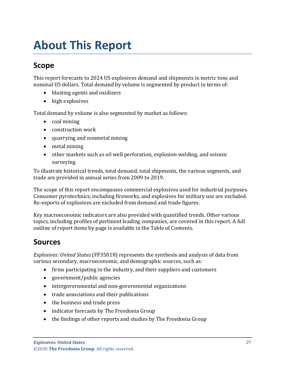# <span id="page-3-0"></span>**About This Report**

# <span id="page-3-1"></span>**Scope**

This report forecasts to 2024 US explosives demand and shipments in metric tons and nominal US dollars. Total demand by volume is segmented by product in terms of:

- blasting agents and oxidizers
- high explosives

Total demand by volume is also segmented by market as follows:

- coal mining
- construction work
- quarrying and nonmetal mining
- metal mining
- other markets such as oil well perforation, explosion welding, and seismic surveying

To illustrate historical trends, total demand, total shipments, the various segments, and trade are provided in annual series from 2009 to 2019.

The scope of this report encompasses commercial explosives used for industrial purposes. Consumer pyrotechnics, including fireworks, and explosives for military use are excluded. Re-exports of explosives are excluded from demand and trade figures.

Key macroeconomic indicators are also provided with quantified trends. Other various topics, including profiles of pertinent leading companies, are covered in this report. A full outline of report items by page is available in the Table of Contents.

## <span id="page-3-2"></span>**Sources**

*Explosives: United States* (FF35018) represents the synthesis and analysis of data from various secondary, macroeconomic, and demographic sources, such as:

- firms participating in the industry, and their suppliers and customers
- government/public agencies
- intergovernmental and non-governmental organizations
- trade associations and their publications
- the business and trade press
- indicator forecasts by The Freedonia Group
- the findings of other reports and studies by The Freedonia Group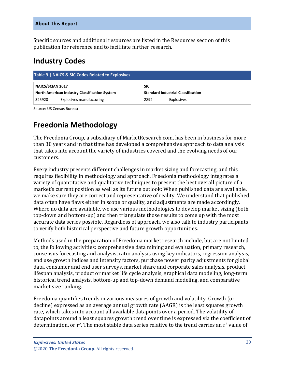Specific sources and additional resources are listed in the Resources section of this publication for reference and to facilitate further research.

## <span id="page-4-0"></span>**Industry Codes**

<span id="page-4-2"></span>

| Table 9   NAICS & SIC Codes Related to Explosives |                          |      |                                           |  |
|---------------------------------------------------|--------------------------|------|-------------------------------------------|--|
| <b>NAICS/SCIAN 2017</b><br><b>SIC</b>             |                          |      |                                           |  |
| North American Industry Classification System     |                          |      | <b>Standard Industrial Classification</b> |  |
| 325920                                            | Explosives manufacturing | 2892 | Explosives                                |  |

Source: US Census Bureau

# <span id="page-4-1"></span>**Freedonia Methodology**

The Freedonia Group, a subsidiary of MarketResearch.com, has been in business for more than 30 years and in that time has developed a comprehensive approach to data analysis that takes into account the variety of industries covered and the evolving needs of our customers.

Every industry presents different challenges in market sizing and forecasting, and this requires flexibility in methodology and approach. Freedonia methodology integrates a variety of quantitative and qualitative techniques to present the best overall picture of a market's current position as well as its future outlook: When published data are available, we make sure they are correct and representative of reality. We understand that published data often have flaws either in scope or quality, and adjustments are made accordingly. Where no data are available, we use various methodologies to develop market sizing (both top-down and bottom-up) and then triangulate those results to come up with the most accurate data series possible. Regardless of approach, we also talk to industry participants to verify both historical perspective and future growth opportunities.

Methods used in the preparation of Freedonia market research include, but are not limited to, the following activities: comprehensive data mining and evaluation, primary research, consensus forecasting and analysis, ratio analysis using key indicators, regression analysis, end use growth indices and intensity factors, purchase power parity adjustments for global data, consumer and end user surveys, market share and corporate sales analysis, product lifespan analysis, product or market life cycle analysis, graphical data modeling, long-term historical trend analysis, bottom-up and top-down demand modeling, and comparative market size ranking.

Freedonia quantifies trends in various measures of growth and volatility. Growth (or decline) expressed as an average annual growth rate (AAGR) is the least squares growth rate, which takes into account all available datapoints over a period. The volatility of datapoints around a least squares growth trend over time is expressed via the coefficient of determination, or  $r^2$ . The most stable data series relative to the trend carries an  $r^2$  value of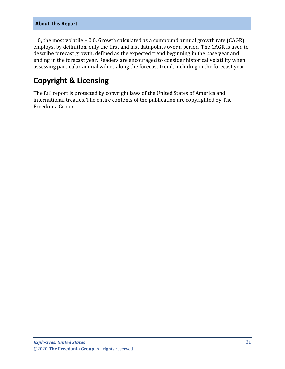#### **About This Report**

1.0; the most volatile – 0.0. Growth calculated as a compound annual growth rate (CAGR) employs, by definition, only the first and last datapoints over a period. The CAGR is used to describe forecast growth, defined as the expected trend beginning in the base year and ending in the forecast year. Readers are encouraged to consider historical volatility when assessing particular annual values along the forecast trend, including in the forecast year.

## **Copyright & Licensing**

The full report is protected by copyright laws of the United States of America and international treaties. The entire contents of the publication are copyrighted by The Freedonia Group.